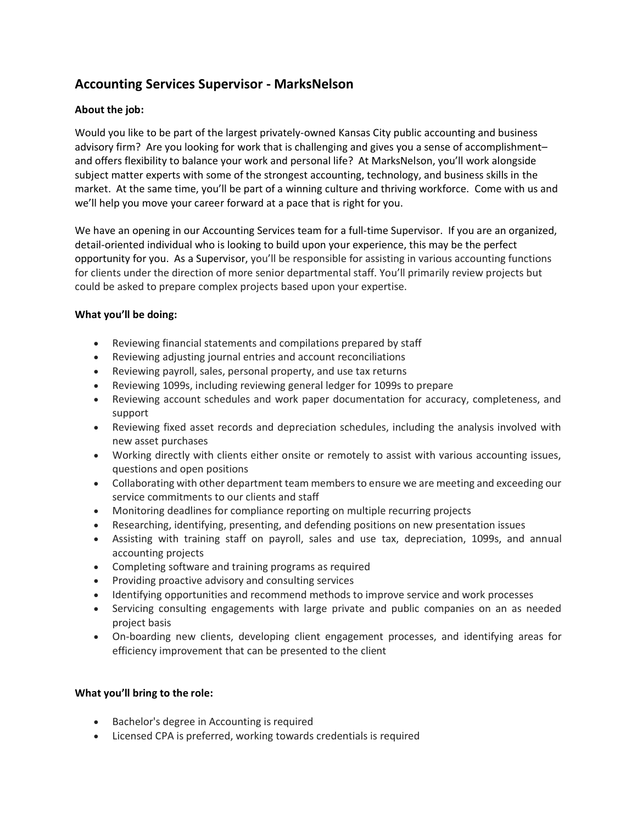# **Accounting Services Supervisor - MarksNelson**

## **About the job:**

Would you like to be part of the largest privately-owned Kansas City public accounting and business advisory firm? Are you looking for work that is challenging and gives you a sense of accomplishment– and offers flexibility to balance your work and personal life? At MarksNelson, you'll work alongside subject matter experts with some of the strongest accounting, technology, and business skills in the market. At the same time, you'll be part of a winning culture and thriving workforce. Come with us and we'll help you move your career forward at a pace that is right for you.

We have an opening in our Accounting Services team for a full-time Supervisor. If you are an organized, detail-oriented individual who is looking to build upon your experience, this may be the perfect opportunity for you. As a Supervisor, you'll be responsible for assisting in various accounting functions for clients under the direction of more senior departmental staff. You'll primarily review projects but could be asked to prepare complex projects based upon your expertise.

## **What you'll be doing:**

- Reviewing financial statements and compilations prepared by staff
- Reviewing adjusting journal entries and account reconciliations
- Reviewing payroll, sales, personal property, and use tax returns
- Reviewing 1099s, including reviewing general ledger for 1099s to prepare
- Reviewing account schedules and work paper documentation for accuracy, completeness, and support
- Reviewing fixed asset records and depreciation schedules, including the analysis involved with new asset purchases
- Working directly with clients either onsite or remotely to assist with various accounting issues, questions and open positions
- Collaborating with other department team members to ensure we are meeting and exceeding our service commitments to our clients and staff
- Monitoring deadlines for compliance reporting on multiple recurring projects
- Researching, identifying, presenting, and defending positions on new presentation issues
- Assisting with training staff on payroll, sales and use tax, depreciation, 1099s, and annual accounting projects
- Completing software and training programs as required
- Providing proactive advisory and consulting services
- Identifying opportunities and recommend methods to improve service and work processes
- Servicing consulting engagements with large private and public companies on an as needed project basis
- On-boarding new clients, developing client engagement processes, and identifying areas for efficiency improvement that can be presented to the client

### **What you'll bring to the role:**

- Bachelor's degree in Accounting is required
- Licensed CPA is preferred, working towards credentials is required